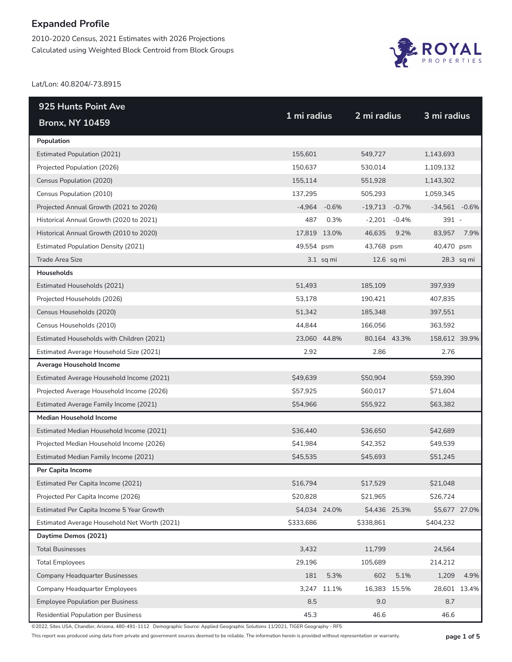2010-2020 Census, 2021 Estimates with 2026 Projections Calculated using Weighted Block Centroid from Block Groups



Lat/Lon: 40.8204/-73.8915

| 925 Hunts Point Ave                          | 1 mi radius |               | 2 mi radius   |            |                 |            |
|----------------------------------------------|-------------|---------------|---------------|------------|-----------------|------------|
| <b>Bronx, NY 10459</b>                       |             |               |               |            | 3 mi radius     |            |
| Population                                   |             |               |               |            |                 |            |
| <b>Estimated Population (2021)</b>           | 155,601     |               | 549,727       |            | 1,143,693       |            |
| Projected Population (2026)                  | 150,637     |               | 530,014       |            | 1,109,132       |            |
| Census Population (2020)                     | 155,114     |               | 551,928       |            | 1,143,302       |            |
| Census Population (2010)                     | 137,295     |               | 505,293       |            | 1,059,345       |            |
| Projected Annual Growth (2021 to 2026)       | $-4,964$    | $-0.6%$       | $-19,713$     | $-0.7%$    | $-34,561 -0.6%$ |            |
| Historical Annual Growth (2020 to 2021)      | 487         | 0.3%          | $-2,201$      | $-0.4\%$   | $391 -$         |            |
| Historical Annual Growth (2010 to 2020)      |             | 17,819 13.0%  | 46,635        | 9.2%       | 83,957          | 7.9%       |
| <b>Estimated Population Density (2021)</b>   | 49,554 psm  |               | 43,768 psm    |            | 40,470 psm      |            |
| Trade Area Size                              |             | $3.1$ sq mi   |               | 12.6 sq mi |                 | 28.3 sq mi |
| Households                                   |             |               |               |            |                 |            |
| Estimated Households (2021)                  | 51,493      |               | 185,109       |            | 397,939         |            |
| Projected Households (2026)                  | 53,178      |               | 190,421       |            | 407,835         |            |
| Census Households (2020)                     | 51,342      |               | 185,348       |            | 397,551         |            |
| Census Households (2010)                     | 44,844      |               | 166,056       |            | 363,592         |            |
| Estimated Households with Children (2021)    |             | 23,060 44.8%  | 80,164 43.3%  |            | 158,612 39.9%   |            |
| Estimated Average Household Size (2021)      | 2.92        |               | 2.86          |            | 2.76            |            |
| Average Household Income                     |             |               |               |            |                 |            |
| Estimated Average Household Income (2021)    | \$49,639    |               | \$50,904      |            | \$59,390        |            |
| Projected Average Household Income (2026)    | \$57,925    |               | \$60,017      |            | \$71,604        |            |
| Estimated Average Family Income (2021)       | \$54,966    |               | \$55,922      |            | \$63,382        |            |
| <b>Median Household Income</b>               |             |               |               |            |                 |            |
| Estimated Median Household Income (2021)     | \$36,440    |               | \$36,650      |            | \$42,689        |            |
| Projected Median Household Income (2026)     | \$41,984    |               | \$42,352      |            | \$49,539        |            |
| Estimated Median Family Income (2021)        | \$45,535    |               | \$45,693      |            | \$51,245        |            |
| Per Capita Income                            |             |               |               |            |                 |            |
| Estimated Per Capita Income (2021)           | \$16,794    |               | \$17,529      |            | \$21,048        |            |
| Projected Per Capita Income (2026)           | \$20,828    |               | \$21,965      |            | \$26,724        |            |
| Estimated Per Capita Income 5 Year Growth    |             | \$4,034 24.0% | \$4,436 25.3% |            | \$5,677 27.0%   |            |
| Estimated Average Household Net Worth (2021) | \$333,686   |               | \$338,861     |            | \$404,232       |            |
| Daytime Demos (2021)                         |             |               |               |            |                 |            |
| <b>Total Businesses</b>                      | 3,432       |               | 11,799        |            | 24,564          |            |
| <b>Total Employees</b>                       | 29,196      |               | 105,689       |            | 214,212         |            |
| <b>Company Headquarter Businesses</b>        | 181         | 5.3%          | 602           | 5.1%       | 1,209           | 4.9%       |
| <b>Company Headquarter Employees</b>         | 3,247       | 11.1%         | 16,383        | 15.5%      | 28,601 13.4%    |            |
| <b>Employee Population per Business</b>      | 8.5         |               | 9.0           |            | 8.7             |            |
| Residential Population per Business          | 45.3        |               | 46.6          |            | 46.6            |            |

©2022, Sites USA, Chandler, Arizona, 480-491-1112 Demographic Source: Applied Geographic Solutions 11/2021, TIGER Geography - RF5

This report was produced using data from private and government sources deemed to be reliable. The information herein is provided without representation or warranty. **page 1 of 5**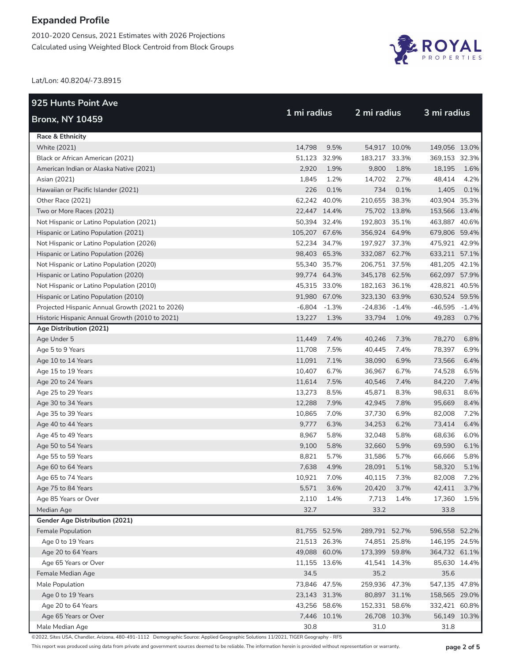2010-2020 Census, 2021 Estimates with 2026 Projections Calculated using Weighted Block Centroid from Block Groups



Lat/Lon: 40.8204/-73.8915

| <b>925 Hunts Point Ave</b>                          |               |                |               |             |                 | 3 mi radius  |  |  |
|-----------------------------------------------------|---------------|----------------|---------------|-------------|-----------------|--------------|--|--|
| <b>Bronx, NY 10459</b>                              | 1 mi radius   |                |               | 2 mi radius |                 |              |  |  |
| Race & Ethnicity                                    |               |                |               |             |                 |              |  |  |
| White (2021)                                        | 14,798        | 9.5%           | 54,917 10.0%  |             | 149,056 13.0%   |              |  |  |
| Black or African American (2021)                    |               | 51,123 32.9%   | 183,217 33.3% |             | 369,153 32.3%   |              |  |  |
| American Indian or Alaska Native (2021)             | 2,920         | 1.9%           | 9,800         | 1.8%        | 18,195          | 1.6%         |  |  |
| Asian (2021)                                        | 1,845         | 1.2%           | 14,702        | 2.7%        | 48,414          | 4.2%         |  |  |
| Hawaiian or Pacific Islander (2021)                 | 226           | 0.1%           | 734           | 0.1%        | 1,405           | 0.1%         |  |  |
| Other Race (2021)                                   | 62,242 40.0%  |                | 210,655 38.3% |             | 403,904 35.3%   |              |  |  |
| Two or More Races (2021)                            | 22,447 14.4%  |                | 75,702 13.8%  |             | 153,566 13.4%   |              |  |  |
| Not Hispanic or Latino Population (2021)            | 50,394 32.4%  |                | 192,803 35.1% |             | 463,887 40.6%   |              |  |  |
| Hispanic or Latino Population (2021)                | 105,207 67.6% |                | 356,924 64.9% |             | 679,806 59.4%   |              |  |  |
| Not Hispanic or Latino Population (2026)            |               | 52,234 34.7%   | 197,927 37.3% |             | 475,921 42.9%   |              |  |  |
| Hispanic or Latino Population (2026)                | 98,403 65.3%  |                | 332,087 62.7% |             | 633,211 57.1%   |              |  |  |
| Not Hispanic or Latino Population (2020)            | 55,340 35.7%  |                | 206,751 37.5% |             | 481,205 42.1%   |              |  |  |
| Hispanic or Latino Population (2020)                | 99,774 64.3%  |                | 345,178 62.5% |             | 662,097 57.9%   |              |  |  |
| Not Hispanic or Latino Population (2010)            | 45,315 33.0%  |                | 182,163 36.1% |             | 428,821 40.5%   |              |  |  |
| Hispanic or Latino Population (2010)                | 91,980 67.0%  |                | 323,130 63.9% |             | 630,524 59.5%   |              |  |  |
| Projected Hispanic Annual Growth (2021 to 2026)     |               | $-6,804 -1.3%$ | $-24,836$     | -1.4%       | $-46,595 -1.4%$ |              |  |  |
| Historic Hispanic Annual Growth (2010 to 2021)      | 13,227        | 1.3%           | 33,794        | 1.0%        | 49,283          | 0.7%         |  |  |
| Age Distribution (2021)                             |               |                |               |             |                 |              |  |  |
| Age Under 5                                         | 11,449        | 7.4%           | 40,246        | 7.3%        | 78,270          | 6.8%         |  |  |
| Age 5 to 9 Years                                    | 11,708        | 7.5%           | 40,445        | 7.4%        | 78,397          | 6.9%         |  |  |
| Age 10 to 14 Years                                  | 11,091        | 7.1%           | 38,090        | 6.9%        | 73,566          | 6.4%         |  |  |
| Age 15 to 19 Years                                  | 10,407        | 6.7%           | 36,967        | 6.7%        | 74,528          | 6.5%         |  |  |
| Age 20 to 24 Years                                  | 11,614        | 7.5%           | 40,546        | 7.4%        | 84,220          | 7.4%         |  |  |
| Age 25 to 29 Years                                  | 13,273        | 8.5%           | 45,871        | 8.3%        | 98,631          | 8.6%         |  |  |
| Age 30 to 34 Years                                  | 12,288        | 7.9%           | 42,945        | 7.8%        | 95,669          | 8.4%         |  |  |
| Age 35 to 39 Years                                  | 10,865        | 7.0%           | 37,730        | 6.9%        | 82,008          | 7.2%         |  |  |
| Age 40 to 44 Years                                  | 9,777         | 6.3%           | 34,253        | 6.2%        | 73,414          | 6.4%         |  |  |
| Age 45 to 49 Years                                  | 8,967         | 5.8%           | 32,048        | 5.8%        | 68,636          | 6.0%         |  |  |
| Age 50 to 54 Years                                  | 9,100         | 5.8%           | 32,660        | 5.9%        | 69,590          | 6.1%         |  |  |
| Age 55 to 59 Years                                  | 8,821         | 5.7%           | 31,586        | 5.7%        | 66,666          | 5.8%         |  |  |
| Age 60 to 64 Years                                  | 7,638         | 4.9%           | 28,091        | 5.1%        | 58,320          | 5.1%         |  |  |
| Age 65 to 74 Years                                  | 10,921        | 7.0%           | 40,115        | 7.3%        | 82,008          | 7.2%         |  |  |
| Age 75 to 84 Years                                  | 5,571         | 3.6%           | 20,420        | 3.7%        | 42,411          | 3.7%         |  |  |
| Age 85 Years or Over                                | 2,110         | 1.4%           | 7,713         | 1.4%        | 17,360          | 1.5%         |  |  |
| Median Age                                          | 32.7          |                | 33.2          |             | 33.8            |              |  |  |
| Gender Age Distribution (2021)<br>Female Population | 81,755 52.5%  |                | 289,791 52.7% |             | 596,558 52.2%   |              |  |  |
| Age 0 to 19 Years                                   | 21,513 26.3%  |                | 74,851 25.8%  |             | 146,195 24.5%   |              |  |  |
| Age 20 to 64 Years                                  | 49,088 60.0%  |                | 173,399 59.8% |             | 364,732 61.1%   |              |  |  |
| Age 65 Years or Over                                | 11,155 13.6%  |                | 41,541 14.3%  |             |                 | 85,630 14.4% |  |  |
| Female Median Age                                   | 34.5          |                | 35.2          |             | 35.6            |              |  |  |
| Male Population                                     | 73,846 47.5%  |                | 259,936 47.3% |             | 547,135 47.8%   |              |  |  |
| Age 0 to 19 Years                                   | 23,143 31.3%  |                | 80,897 31.1%  |             | 158,565 29.0%   |              |  |  |
| Age 20 to 64 Years                                  |               | 43,256 58.6%   | 152,331 58.6% |             | 332,421 60.8%   |              |  |  |
| Age 65 Years or Over                                |               | 7,446 10.1%    | 26,708 10.3%  |             |                 | 56,149 10.3% |  |  |
| Male Median Age                                     | 30.8          |                | 31.0          |             | 31.8            |              |  |  |
|                                                     |               |                |               |             |                 |              |  |  |

©2022, Sites USA, Chandler, Arizona, 480-491-1112 Demographic Source: Applied Geographic Solutions 11/2021, TIGER Geography - RF5

This report was produced using data from private and government sources deemed to be reliable. The information herein is provided without representation or warranty. **page 2 of 5**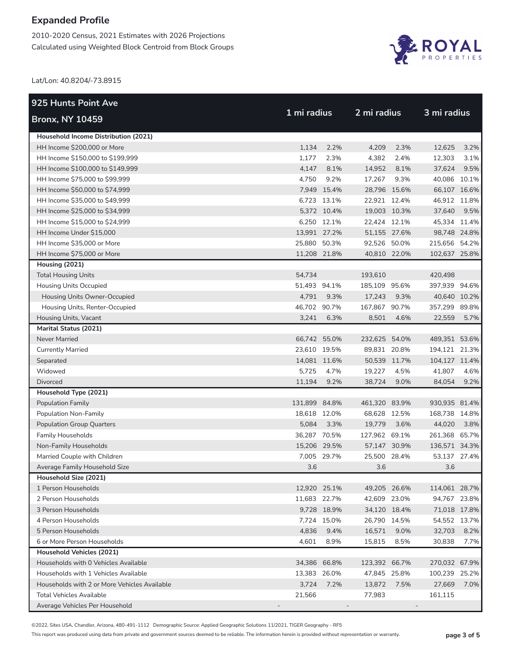2010-2020 Census, 2021 Estimates with 2026 Projections Calculated using Weighted Block Centroid from Block Groups



Lat/Lon: 40.8204/-73.8915

| 925 Hunts Point Ave                          |               |             |               |      |               |      |
|----------------------------------------------|---------------|-------------|---------------|------|---------------|------|
| <b>Bronx, NY 10459</b>                       | 1 mi radius   |             | 2 mi radius   |      | 3 mi radius   |      |
| Household Income Distribution (2021)         |               |             |               |      |               |      |
| HH Income \$200,000 or More                  | 1,134         | 2.2%        | 4,209         | 2.3% | 12,625        | 3.2% |
| HH Income \$150,000 to \$199,999             | 1,177         | 2.3%        | 4,382         | 2.4% | 12,303        | 3.1% |
| HH Income \$100,000 to \$149,999             | 4,147         | 8.1%        | 14,952        | 8.1% | 37,624        | 9.5% |
| HH Income \$75,000 to \$99,999               | 4,750         | 9.2%        | 17,267        | 9.3% | 40,086 10.1%  |      |
| HH Income \$50,000 to \$74,999               |               | 7,949 15.4% | 28,796 15.6%  |      | 66,107 16.6%  |      |
| HH Income \$35,000 to \$49,999               |               | 6,723 13.1% | 22,921 12.4%  |      | 46,912 11.8%  |      |
| HH Income \$25,000 to \$34,999               |               | 5,372 10.4% | 19,003 10.3%  |      | 37,640        | 9.5% |
| HH Income \$15,000 to \$24,999               |               | 6,250 12.1% | 22,424 12.1%  |      | 45,334 11.4%  |      |
| HH Income Under \$15,000                     | 13,991 27.2%  |             | 51,155 27.6%  |      | 98,748 24.8%  |      |
| HH Income \$35,000 or More                   | 25,880 50.3%  |             | 92,526 50.0%  |      | 215,656 54.2% |      |
| HH Income \$75,000 or More                   | 11,208 21.8%  |             | 40,810 22.0%  |      | 102,637 25.8% |      |
| Housing (2021)                               |               |             |               |      |               |      |
| <b>Total Housing Units</b>                   | 54,734        |             | 193,610       |      | 420,498       |      |
| <b>Housing Units Occupied</b>                | 51,493 94.1%  |             | 185,109 95.6% |      | 397,939 94.6% |      |
| Housing Units Owner-Occupied                 | 4,791         | 9.3%        | 17,243        | 9.3% | 40,640 10.2%  |      |
| Housing Units, Renter-Occupied               | 46,702 90.7%  |             | 167,867 90.7% |      | 357,299 89.8% |      |
| Housing Units, Vacant                        | 3,241         | 6.3%        | 8,501         | 4.6% | 22,559        | 5.7% |
| <b>Marital Status (2021)</b>                 |               |             |               |      |               |      |
| Never Married                                | 66,742 55.0%  |             | 232,625 54.0% |      | 489,351 53.6% |      |
| <b>Currently Married</b>                     | 23,610 19.5%  |             | 89,831 20.8%  |      | 194,121 21.3% |      |
| Separated                                    | 14,081 11.6%  |             | 50,539 11.7%  |      | 104,127 11.4% |      |
| Widowed                                      | 5,725         | 4.7%        | 19,227        | 4.5% | 41,807        | 4.6% |
| <b>Divorced</b>                              | 11,194        | 9.2%        | 38,724        | 9.0% | 84,054        | 9.2% |
| Household Type (2021)                        |               |             |               |      |               |      |
| <b>Population Family</b>                     | 131,899 84.8% |             | 461,320 83.9% |      | 930,935 81.4% |      |
| Population Non-Family                        | 18,618 12.0%  |             | 68,628 12.5%  |      | 168,738 14.8% |      |
| <b>Population Group Quarters</b>             | 5,084         | 3.3%        | 19,779        | 3.6% | 44,020        | 3.8% |
| <b>Family Households</b>                     | 36,287 70.5%  |             | 127,962 69.1% |      | 261,368 65.7% |      |
| Non-Family Households                        | 15,206 29.5%  |             | 57,147 30.9%  |      | 136,571 34.3% |      |
| Married Couple with Children                 |               | 7,005 29.7% | 25,500 28.4%  |      | 53,137 27.4%  |      |
| Average Family Household Size                | 3.6           |             | 3.6           |      | 3.6           |      |
| Household Size (2021)                        |               |             |               |      |               |      |
| 1 Person Households                          | 12,920 25.1%  |             | 49,205 26.6%  |      | 114,061 28.7% |      |
| 2 Person Households                          | 11,683 22.7%  |             | 42,609 23.0%  |      | 94,767 23.8%  |      |
| 3 Person Households                          |               | 9,728 18.9% | 34,120 18.4%  |      | 71,018 17.8%  |      |
| 4 Person Households                          |               | 7,724 15.0% | 26,790 14.5%  |      | 54,552 13.7%  |      |
| 5 Person Households                          | 4,836         | 9.4%        | 16,571        | 9.0% | 32,703        | 8.2% |
| 6 or More Person Households                  | 4,601         | 8.9%        | 15,815        | 8.5% | 30,838        | 7.7% |
| <b>Household Vehicles (2021)</b>             |               |             |               |      |               |      |
| Households with 0 Vehicles Available         | 34,386 66.8%  |             | 123,392 66.7% |      | 270,032 67.9% |      |
| Households with 1 Vehicles Available         | 13,383 26.0%  |             | 47,845 25.8%  |      | 100,239 25.2% |      |
| Households with 2 or More Vehicles Available | 3,724         | 7.2%        | 13,872        | 7.5% | 27,669        | 7.0% |
| <b>Total Vehicles Available</b>              | 21,566        |             | 77,983        |      | 161,115       |      |
| Average Vehicles Per Household               |               |             |               |      |               |      |

©2022, Sites USA, Chandler, Arizona, 480-491-1112 Demographic Source: Applied Geographic Solutions 11/2021, TIGER Geography - RF5

This report was produced using data from private and government sources deemed to be reliable. The information herein is provided without representation or warranty. **page 3 of 5**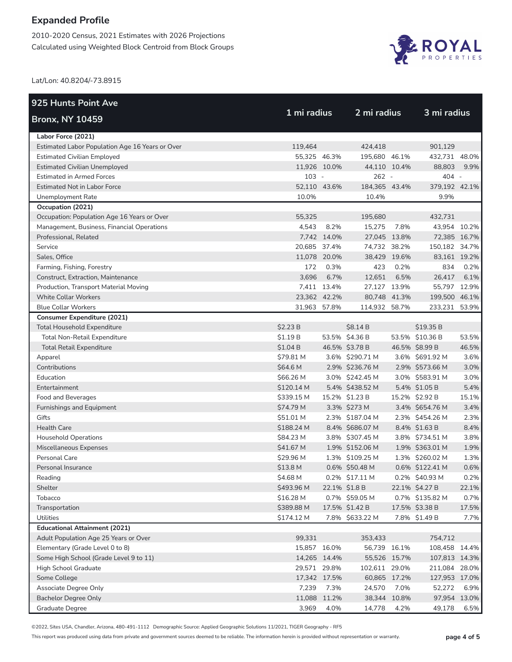2010-2020 Census, 2021 Estimates with 2026 Projections Calculated using Weighted Block Centroid from Block Groups



Lat/Lon: 40.8204/-73.8915

| 925 Hunts Point Ave                             |              |               |                 |       |                 |       |
|-------------------------------------------------|--------------|---------------|-----------------|-------|-----------------|-------|
| <b>Bronx, NY 10459</b>                          | 1 mi radius  |               | 2 mi radius     |       | 3 mi radius     |       |
| Labor Force (2021)                              |              |               |                 |       |                 |       |
| Estimated Labor Population Age 16 Years or Over | 119,464      |               | 424.418         |       | 901.129         |       |
| <b>Estimated Civilian Employed</b>              | 55,325 46.3% |               | 195,680 46.1%   |       | 432,731 48.0%   |       |
| Estimated Civilian Unemployed                   | 11,926 10.0% |               | 44,110 10.4%    |       | 88,803          | 9.9%  |
| <b>Estimated in Armed Forces</b>                | $103 -$      |               | 262 -           |       | 404 -           |       |
| <b>Estimated Not in Labor Force</b>             | 52,110 43.6% |               | 184,365 43.4%   |       | 379.192 42.1%   |       |
| Unemployment Rate                               | 10.0%        |               | 10.4%           |       | 9.9%            |       |
| Occupation (2021)                               |              |               |                 |       |                 |       |
| Occupation: Population Age 16 Years or Over     | 55,325       |               | 195,680         |       | 432,731         |       |
| Management, Business, Financial Operations      | 4,543        | 8.2%          | 15,275          | 7.8%  | 43,954 10.2%    |       |
| Professional, Related                           |              | 7,742 14.0%   | 27,045 13.8%    |       | 72,385 16.7%    |       |
| Service                                         | 20,685 37.4% |               | 74,732 38.2%    |       | 150,182 34.7%   |       |
| Sales, Office                                   | 11,078 20.0% |               | 38,429 19.6%    |       | 83,161 19.2%    |       |
| Farming, Fishing, Forestry                      | 172          | 0.3%          | 423             | 0.2%  | 834             | 0.2%  |
| Construct, Extraction, Maintenance              | 3,696        | 6.7%          | 12,651          | 6.5%  | 26,417          | 6.1%  |
| Production, Transport Material Moving           |              | 7,411 13.4%   | 27,127 13.9%    |       | 55,797 12.9%    |       |
| <b>White Collar Workers</b>                     | 23,362 42.2% |               | 80,748 41.3%    |       | 199,500 46.1%   |       |
| <b>Blue Collar Workers</b>                      | 31,963 57.8% |               | 114,932 58.7%   |       | 233,231 53.9%   |       |
| <b>Consumer Expenditure (2021)</b>              |              |               |                 |       |                 |       |
| <b>Total Household Expenditure</b>              | \$2.23 B     |               | \$8.14B         |       | \$19.35 B       |       |
| Total Non-Retail Expenditure                    | \$1.19B      |               | 53.5% \$4.36 B  |       | 53.5% \$10.36 B | 53.5% |
| <b>Total Retail Expenditure</b>                 | \$1.04B      |               | 46.5% \$3.78 B  |       | 46.5% \$8.99 B  | 46.5% |
| Apparel                                         | \$79.81 M    |               | 3.6% \$290.71 M |       | 3.6% \$691.92 M | 3.6%  |
| Contributions                                   | \$64.6 M     |               | 2.9% \$236.76 M |       | 2.9% \$573.66 M | 3.0%  |
| Education                                       | \$66.26 M    |               | 3.0% \$242.45 M |       | 3.0% \$583.91 M | 3.0%  |
| Entertainment                                   | \$120.14 M   |               | 5.4% \$438.52 M |       | 5.4% \$1.05 B   | 5.4%  |
| Food and Beverages                              | \$339.15 M   |               | 15.2% \$1.23 B  |       | 15.2% \$2.92 B  | 15.1% |
| Furnishings and Equipment                       | \$74.79 M    |               | 3.3% \$273 M    |       | 3.4% \$654.76 M | 3.4%  |
| Gifts                                           | \$51.01 M    |               | 2.3% \$187.04 M |       | 2.3% \$454.26 M | 2.3%  |
| <b>Health Care</b>                              | \$188.24 M   |               | 8.4% \$686.07 M |       | 8.4% \$1.63 B   | 8.4%  |
| <b>Household Operations</b>                     | \$84.23 M    |               | 3.8% \$307.45 M |       | 3.8% \$734.51 M | 3.8%  |
| Miscellaneous Expenses                          | \$41.67 M    |               | 1.9% \$152.06 M |       | 1.9% \$363.01 M | 1.9%  |
| Personal Care                                   | \$29.96 M    |               | 1.3% \$109.25 M |       | 1.3% \$260.02 M | 1.3%  |
| Personal Insurance                              | \$13.8 M     |               | 0.6% \$50.48 M  |       | 0.6% \$122.41 M | 0.6%  |
| Reading                                         | \$4.68 M     |               | 0.2% \$17.11 M  |       | 0.2% \$40.93 M  | 0.2%  |
| Shelter                                         | \$493.96 M   | 22.1% \$1.8 B |                 |       | 22.1% \$4.27 B  | 22.1% |
| Tobacco                                         | \$16.28 M    |               | 0.7% \$59.05 M  |       | 0.7% \$135.82 M | 0.7%  |
| Transportation                                  | \$389.88 M   |               | 17.5% \$1.42 B  |       | 17.5% \$3.38 B  | 17.5% |
| Utilities                                       | \$174.12 M   |               | 7.8% \$633.22 M |       | 7.8% \$1.49 B   | 7.7%  |
| <b>Educational Attainment (2021)</b>            |              |               |                 |       |                 |       |
| Adult Population Age 25 Years or Over           | 99,331       |               | 353,433         |       | 754,712         |       |
| Elementary (Grade Level 0 to 8)                 | 15,857 16.0% |               | 56,739 16.1%    |       | 108,458 14.4%   |       |
| Some High School (Grade Level 9 to 11)          | 14,265 14.4% |               | 55,526 15.7%    |       | 107,813 14.3%   |       |
| High School Graduate                            | 29,571 29.8% |               | 102,611 29.0%   |       | 211,084 28.0%   |       |
| Some College                                    | 17,342 17.5% |               | 60,865 17.2%    |       | 127,953 17.0%   |       |
| Associate Degree Only                           | 7,239        | 7.3%          | 24,570          | 7.0%  | 52,272          | 6.9%  |
| <b>Bachelor Degree Only</b>                     | 11,088 11.2% |               | 38,344          | 10.8% | 97,954 13.0%    |       |
| Graduate Degree                                 | 3,969        | 4.0%          | 14,778          | 4.2%  | 49,178          | 6.5%  |

©2022, Sites USA, Chandler, Arizona, 480-491-1112 Demographic Source: Applied Geographic Solutions 11/2021, TIGER Geography - RF5

This report was produced using data from private and government sources deemed to be reliable. The information herein is provided without representation or warranty. **page 4 of 5**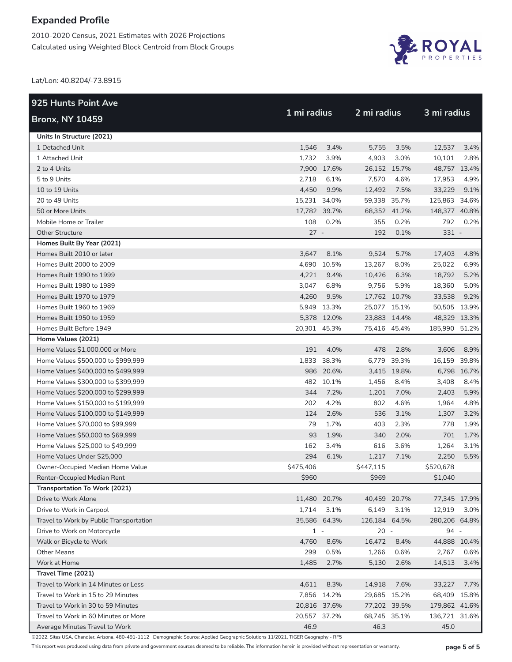2010-2020 Census, 2021 Estimates with 2026 Projections Calculated using Weighted Block Centroid from Block Groups



Lat/Lon: 40.8204/-73.8915

| <b>925 Hunts Point Ave</b>              | 1 mi radius  |              | 2 mi radius   |             | 3 mi radius   |             |
|-----------------------------------------|--------------|--------------|---------------|-------------|---------------|-------------|
| <b>Bronx, NY 10459</b>                  |              |              |               |             |               |             |
| Units In Structure (2021)               |              |              |               |             |               |             |
| 1 Detached Unit                         | 1,546        | 3.4%         | 5,755         | 3.5%        | 12,537        | 3.4%        |
| 1 Attached Unit                         | 1,732        | 3.9%         | 4,903         | 3.0%        | 10,101        | 2.8%        |
| 2 to 4 Units                            |              | 7,900 17.6%  | 26,152 15.7%  |             | 48,757 13.4%  |             |
| 5 to 9 Units                            | 2,718        | 6.1%         | 7,570         | 4.6%        | 17,953        | 4.9%        |
| 10 to 19 Units                          | 4,450        | 9.9%         | 12,492        | 7.5%        | 33,229        | 9.1%        |
| 20 to 49 Units                          | 15,231 34.0% |              | 59,338 35.7%  |             | 125,863 34.6% |             |
| 50 or More Units                        | 17,782 39.7% |              | 68,352 41.2%  |             | 148,377 40.8% |             |
| Mobile Home or Trailer                  | 108          | 0.2%         | 355           | 0.2%        | 792           | 0.2%        |
| <b>Other Structure</b>                  | $27 -$       |              | 192           | 0.1%        | $331 -$       |             |
| Homes Built By Year (2021)              |              |              |               |             |               |             |
| Homes Built 2010 or later               | 3,647        | 8.1%         | 9,524         | 5.7%        | 17,403        | 4.8%        |
| Homes Built 2000 to 2009                |              | 4,690 10.5%  | 13,267        | 8.0%        | 25,022        | 6.9%        |
| Homes Built 1990 to 1999                | 4,221        | 9.4%         | 10,426        | 6.3%        | 18,792        | 5.2%        |
| Homes Built 1980 to 1989                | 3,047        | 6.8%         | 9,756         | 5.9%        | 18,360        | 5.0%        |
| Homes Built 1970 to 1979                | 4,260        | 9.5%         | 17,762 10.7%  |             | 33,538        | 9.2%        |
| Homes Built 1960 to 1969                |              | 5,949 13.3%  | 25,077 15.1%  |             | 50,505 13.9%  |             |
| Homes Built 1950 to 1959                |              | 5,378 12.0%  | 23,883 14.4%  |             | 48,329 13.3%  |             |
| Homes Built Before 1949                 | 20,301 45.3% |              | 75,416 45.4%  |             | 185,990 51.2% |             |
| Home Values (2021)                      |              |              |               |             |               |             |
| Home Values \$1,000,000 or More         | 191          | 4.0%         | 478           | 2.8%        | 3,606         | 8.9%        |
| Home Values \$500,000 to \$999,999      |              | 1,833 38.3%  |               | 6,779 39.3% | 16,159 39.8%  |             |
| Home Values \$400,000 to \$499,999      |              | 986 20.6%    |               | 3,415 19.8% |               | 6,798 16.7% |
| Home Values \$300,000 to \$399,999      |              | 482 10.1%    | 1,456         | 8.4%        | 3,408         | 8.4%        |
| Home Values \$200,000 to \$299,999      | 344          | 7.2%         | 1,201         | 7.0%        | 2,403         | 5.9%        |
| Home Values \$150,000 to \$199,999      | 202          | 4.2%         | 802           | 4.6%        | 1,964         | 4.8%        |
| Home Values \$100,000 to \$149,999      | 124          | 2.6%         | 536           | 3.1%        | 1,307         | 3.2%        |
| Home Values \$70,000 to \$99,999        | 79           | 1.7%         | 403           | 2.3%        | 778           | 1.9%        |
| Home Values \$50,000 to \$69,999        | 93           | 1.9%         | 340           | 2.0%        | 701           | 1.7%        |
| Home Values \$25,000 to \$49,999        | 162          | 3.4%         | 616           | 3.6%        | 1,264         | 3.1%        |
| Home Values Under \$25,000              | 294          | 6.1%         | 1,217         | 7.1%        | 2,250         | 5.5%        |
| Owner-Occupied Median Home Value        | \$475,406    |              | \$447,115     |             | \$520,678     |             |
| Renter-Occupied Median Rent             | \$960        |              | \$969         |             | \$1,040       |             |
| Transportation To Work (2021)           |              |              |               |             |               |             |
| Drive to Work Alone                     |              | 11,480 20.7% | 40,459 20.7%  |             | 77,345 17.9%  |             |
| Drive to Work in Carpool                | 1,714        | 3.1%         | 6,149         | 3.1%        | 12,919        | 3.0%        |
| Travel to Work by Public Transportation |              | 35,586 64.3% | 126,184 64.5% |             | 280,206 64.8% |             |
| Drive to Work on Motorcycle             | $1 -$        |              | $20 -$        |             | 94 -          |             |
| Walk or Bicycle to Work                 | 4,760        | 8.6%         | 16,472        | 8.4%        | 44,888 10.4%  |             |
| <b>Other Means</b>                      | 299          | 0.5%         | 1,266         | 0.6%        | 2,767         | 0.6%        |
| Work at Home                            | 1,485        | 2.7%         | 5,130         | 2.6%        | 14,513        | 3.4%        |
| Travel Time (2021)                      |              |              |               |             |               |             |
| Travel to Work in 14 Minutes or Less    | 4,611        | 8.3%         | 14,918        | 7.6%        | 33,227        | 7.7%        |
| Travel to Work in 15 to 29 Minutes      |              | 7,856 14.2%  | 29,685 15.2%  |             | 68,409 15.8%  |             |
| Travel to Work in 30 to 59 Minutes      |              | 20,816 37.6% | 77,202 39.5%  |             | 179,862 41.6% |             |
| Travel to Work in 60 Minutes or More    | 20,557 37.2% |              | 68,745 35.1%  |             | 136,721 31.6% |             |
| Average Minutes Travel to Work          | 46.9         |              | 46.3          |             | 45.0          |             |

©2022, Sites USA, Chandler, Arizona, 480-491-1112 Demographic Source: Applied Geographic Solutions 11/2021, TIGER Geography - RF5

This report was produced using data from private and government sources deemed to be reliable. The information herein is provided without representation or warranty. **page 5 of 5**